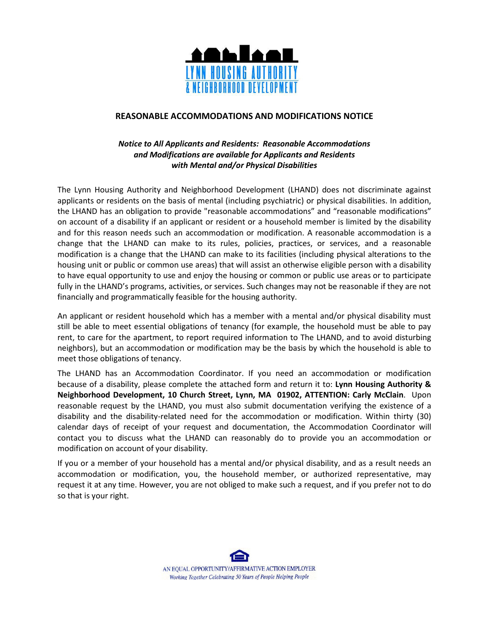

## **REASONABLE ACCOMMODATIONS AND MODIFICATIONS NOTICE**

## *Notice to All Applicants and Residents: Reasonable Accommodations and Modifications are available for Applicants and Residents with Mental and/or Physical Disabilities*

The Lynn Housing Authority and Neighborhood Development (LHAND) does not discriminate against applicants or residents on the basis of mental (including psychiatric) or physical disabilities. In addition, the LHAND has an obligation to provide "reasonable accommodations" and "reasonable modifications" on account of a disability if an applicant or resident or a household member is limited by the disability and for this reason needs such an accommodation or modification. A reasonable accommodation is a change that the LHAND can make to its rules, policies, practices, or services, and a reasonable modification is a change that the LHAND can make to its facilities (including physical alterations to the housing unit or public or common use areas) that will assist an otherwise eligible person with a disability to have equal opportunity to use and enjoy the housing or common or public use areas or to participate fully in the LHAND's programs, activities, or services. Such changes may not be reasonable if they are not financially and programmatically feasible for the housing authority.

An applicant or resident household which has a member with a mental and/or physical disability must still be able to meet essential obligations of tenancy (for example, the household must be able to pay rent, to care for the apartment, to report required information to The LHAND, and to avoid disturbing neighbors), but an accommodation or modification may be the basis by which the household is able to meet those obligations of tenancy.

The LHAND has an Accommodation Coordinator. If you need an accommodation or modification because of a disability, please complete the attached form and return it to: **Lynn Housing Authority & Neighborhood Development, 10 Church Street, Lynn, MA 01902, ATTENTION: Carly McClain**. Upon reasonable request by the LHAND, you must also submit documentation verifying the existence of a disability and the disability-related need for the accommodation or modification. Within thirty (30) calendar days of receipt of your request and documentation, the Accommodation Coordinator will contact you to discuss what the LHAND can reasonably do to provide you an accommodation or modification on account of your disability.

If you or a member of your household has a mental and/or physical disability, and as a result needs an accommodation or modification, you, the household member, or authorized representative, may request it at any time. However, you are not obliged to make such a request, and if you prefer not to do so that is your right.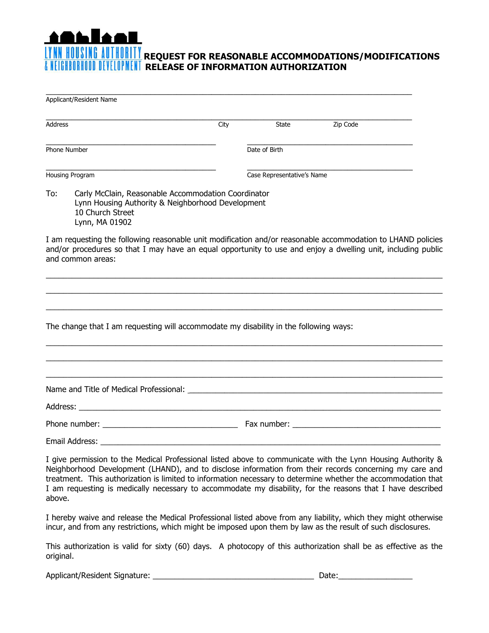## **REQUEST FOR REASONABLE ACCOMMODATIONS/MODIFICATIONS RELEASE OF INFORMATION AUTHORIZATION**

 $\_$  , and the set of the set of the set of the set of the set of the set of the set of the set of the set of the set of the set of the set of the set of the set of the set of the set of the set of the set of the set of th

| Applicant/Resident Name                                                                                                                                                                                                                                                                                                                                                                                                                                         |      |                            |                                                                                                                                                                                                                                |
|-----------------------------------------------------------------------------------------------------------------------------------------------------------------------------------------------------------------------------------------------------------------------------------------------------------------------------------------------------------------------------------------------------------------------------------------------------------------|------|----------------------------|--------------------------------------------------------------------------------------------------------------------------------------------------------------------------------------------------------------------------------|
| Address                                                                                                                                                                                                                                                                                                                                                                                                                                                         | City | State                      | Zip Code                                                                                                                                                                                                                       |
| Phone Number                                                                                                                                                                                                                                                                                                                                                                                                                                                    |      | Date of Birth              |                                                                                                                                                                                                                                |
| Housing Program                                                                                                                                                                                                                                                                                                                                                                                                                                                 |      | Case Representative's Name |                                                                                                                                                                                                                                |
| Carly McClain, Reasonable Accommodation Coordinator<br>To:<br>Lynn Housing Authority & Neighborhood Development<br>10 Church Street<br>Lynn, MA 01902                                                                                                                                                                                                                                                                                                           |      |                            |                                                                                                                                                                                                                                |
| I am requesting the following reasonable unit modification and/or reasonable accommodation to LHAND policies<br>and/or procedures so that I may have an equal opportunity to use and enjoy a dwelling unit, including public<br>and common areas:                                                                                                                                                                                                               |      |                            |                                                                                                                                                                                                                                |
| The change that I am requesting will accommodate my disability in the following ways:                                                                                                                                                                                                                                                                                                                                                                           |      |                            |                                                                                                                                                                                                                                |
|                                                                                                                                                                                                                                                                                                                                                                                                                                                                 |      |                            |                                                                                                                                                                                                                                |
|                                                                                                                                                                                                                                                                                                                                                                                                                                                                 |      |                            |                                                                                                                                                                                                                                |
|                                                                                                                                                                                                                                                                                                                                                                                                                                                                 |      |                            | Fax number: The contract of the contract of the contract of the contract of the contract of the contract of the contract of the contract of the contract of the contract of the contract of the contract of the contract of th |
|                                                                                                                                                                                                                                                                                                                                                                                                                                                                 |      |                            |                                                                                                                                                                                                                                |
| I give permission to the Medical Professional listed above to communicate with the Lynn Housing Authority &<br>Neighborhood Development (LHAND), and to disclose information from their records concerning my care and<br>treatment. This authorization is limited to information necessary to determine whether the accommodation that<br>I am requesting is medically necessary to accommodate my disability, for the reasons that I have described<br>above. |      |                            |                                                                                                                                                                                                                                |
| I hereby waive and release the Medical Professional listed above from any liability, which they might otherwise<br>incur, and from any restrictions, which might be imposed upon them by law as the result of such disclosures.                                                                                                                                                                                                                                 |      |                            |                                                                                                                                                                                                                                |
| This authorization is valid for sixty (60) days. A photocopy of this authorization shall be as effective as the<br>original.                                                                                                                                                                                                                                                                                                                                    |      |                            |                                                                                                                                                                                                                                |
| Applicant/Resident Signature: ____                                                                                                                                                                                                                                                                                                                                                                                                                              |      |                            | Date:                                                                                                                                                                                                                          |